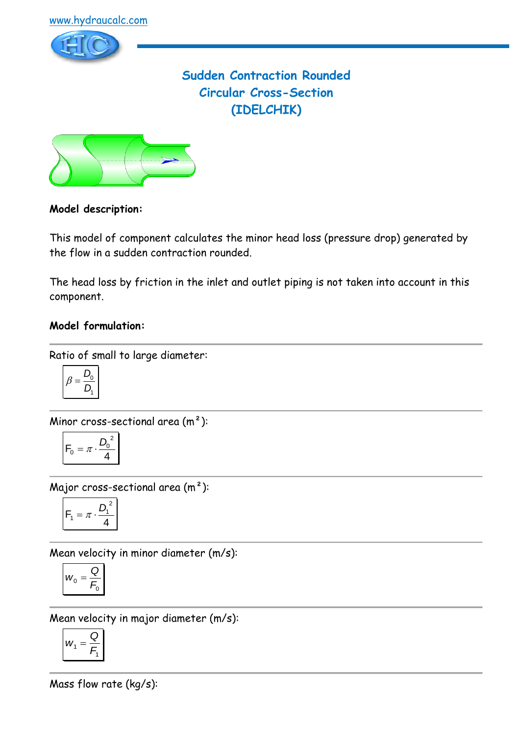

# **Sudden Contraction Rounded Circular Cross-Section (IDELCHIK)**



### **Model description:**

This model of component calculates the minor head loss (pressure drop) generated by the flow in a sudden contraction rounded.

The head loss by friction in the inlet and outlet piping is not taken into account in this component.

#### **Model formulation:**

Ratio of small to large diameter:

$$
\beta = \frac{D_0}{D_1}
$$

Minor cross-sectional area (m²):

$$
F_0 = \pi \cdot \frac{{D_0}^2}{4}
$$

Major cross-sectional area (m²):

$$
F_1 = \pi \cdot \frac{D_1^2}{4}
$$

Mean velocity in minor diameter (m/s):

$$
w_0 = \frac{Q}{F_0}
$$

Mean velocity in major diameter (m/s):

$$
W_1 = \frac{Q}{F_1}
$$

Mass flow rate (kg/s):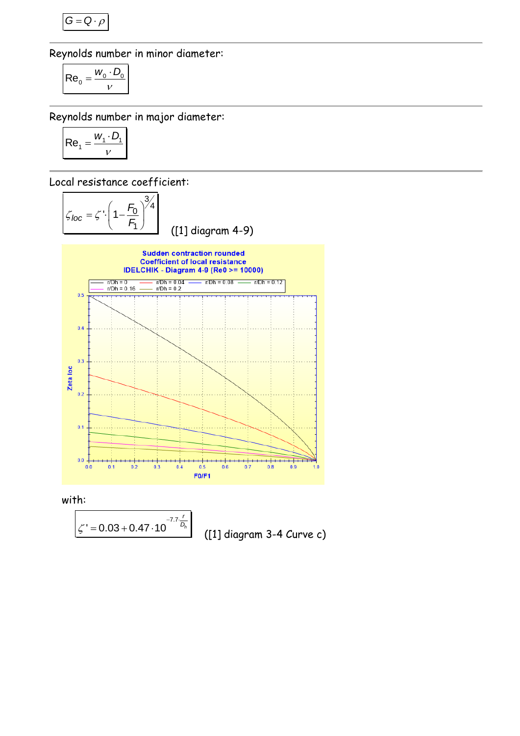$$
G=Q\cdot \rho
$$

Reynolds number in minor diameter:

$$
Re_0 = \frac{w_0 \cdot D_0}{v}
$$

Reynolds number in major diameter:

$$
Re_1 = \frac{W_1 \cdot D_1}{V}
$$

Local resistance coefficient:



*r*

with:

$$
\left|\zeta'=0.03+0.47\cdot10^{-7.7\frac{r}{D_h}}\right|
$$

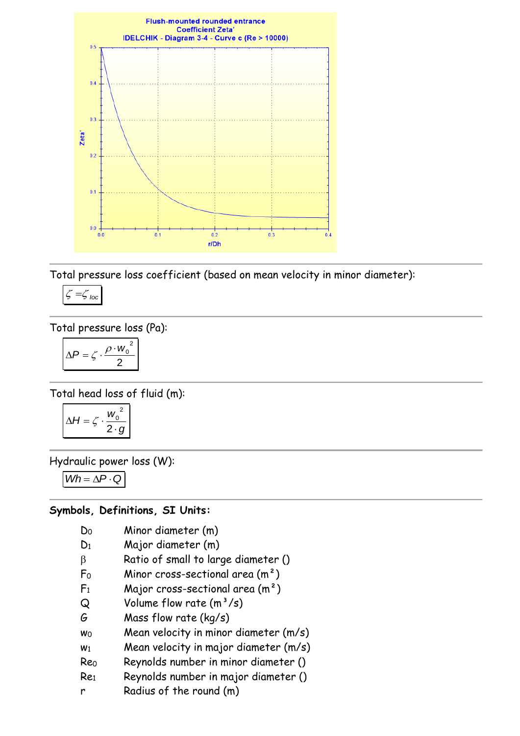

Total pressure loss coefficient (based on mean velocity in minor diameter):

$$
\zeta = \zeta_{\text{loc}}
$$

Total pressure loss (Pa):

$$
\Delta P = \zeta \cdot \frac{\rho \cdot w_0^2}{2}
$$

Total head loss of fluid (m):

$$
\Delta H = \zeta \cdot \frac{w_0^2}{2 \cdot g}
$$

Hydraulic power loss (W):

 $Wh = \Delta P \cdot Q$ 

#### **Symbols, Definitions, SI Units:**

- D<sup>0</sup> Minor diameter (m)
- D<sup>1</sup> Major diameter (m)
- $\beta$  Ratio of small to large diameter ()
- $F_0$  Minor cross-sectional area  $(m^2)$
- $F_1$  Major cross-sectional area  $(m^2)$
- $Q$  Volume flow rate  $(m^3/s)$
- G Mass flow rate (kg/s)
- w<sup>0</sup> Mean velocity in minor diameter (m/s)
- $w_1$  Mean velocity in major diameter  $(m/s)$
- Re<sup>0</sup> Reynolds number in minor diameter ()
- Re<sup>1</sup> Reynolds number in major diameter ()
- r Radius of the round (m)